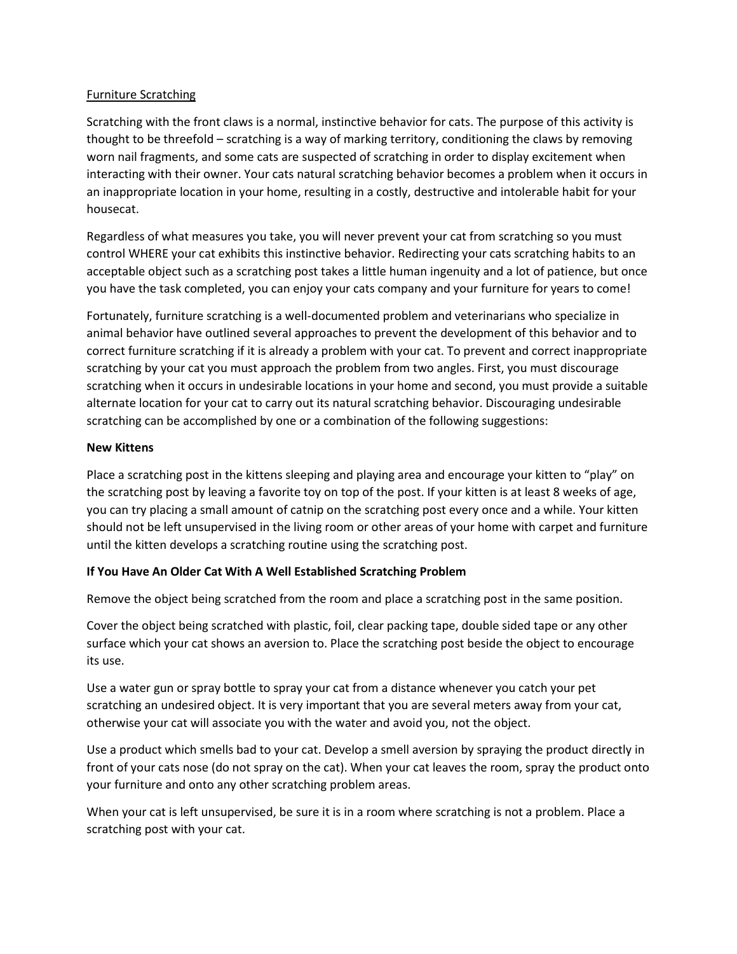## Furniture Scratching

Scratching with the front claws is a normal, instinctive behavior for cats. The purpose of this activity is thought to be threefold – scratching is a way of marking territory, conditioning the claws by removing worn nail fragments, and some cats are suspected of scratching in order to display excitement when interacting with their owner. Your cats natural scratching behavior becomes a problem when it occurs in an inappropriate location in your home, resulting in a costly, destructive and intolerable habit for your housecat.

Regardless of what measures you take, you will never prevent your cat from scratching so you must control WHERE your cat exhibits this instinctive behavior. Redirecting your cats scratching habits to an acceptable object such as a scratching post takes a little human ingenuity and a lot of patience, but once you have the task completed, you can enjoy your cats company and your furniture for years to come!

Fortunately, furniture scratching is a well-documented problem and veterinarians who specialize in animal behavior have outlined several approaches to prevent the development of this behavior and to correct furniture scratching if it is already a problem with your cat. To prevent and correct inappropriate scratching by your cat you must approach the problem from two angles. First, you must discourage scratching when it occurs in undesirable locations in your home and second, you must provide a suitable alternate location for your cat to carry out its natural scratching behavior. Discouraging undesirable scratching can be accomplished by one or a combination of the following suggestions:

## **New Kittens**

Place a scratching post in the kittens sleeping and playing area and encourage your kitten to "play" on the scratching post by leaving a favorite toy on top of the post. If your kitten is at least 8 weeks of age, you can try placing a small amount of catnip on the scratching post every once and a while. Your kitten should not be left unsupervised in the living room or other areas of your home with carpet and furniture until the kitten develops a scratching routine using the scratching post.

## **If You Have An Older Cat With A Well Established Scratching Problem**

Remove the object being scratched from the room and place a scratching post in the same position.

Cover the object being scratched with plastic, foil, clear packing tape, double sided tape or any other surface which your cat shows an aversion to. Place the scratching post beside the object to encourage its use.

Use a water gun or spray bottle to spray your cat from a distance whenever you catch your pet scratching an undesired object. It is very important that you are several meters away from your cat, otherwise your cat will associate you with the water and avoid you, not the object.

Use a product which smells bad to your cat. Develop a smell aversion by spraying the product directly in front of your cats nose (do not spray on the cat). When your cat leaves the room, spray the product onto your furniture and onto any other scratching problem areas.

When your cat is left unsupervised, be sure it is in a room where scratching is not a problem. Place a scratching post with your cat.